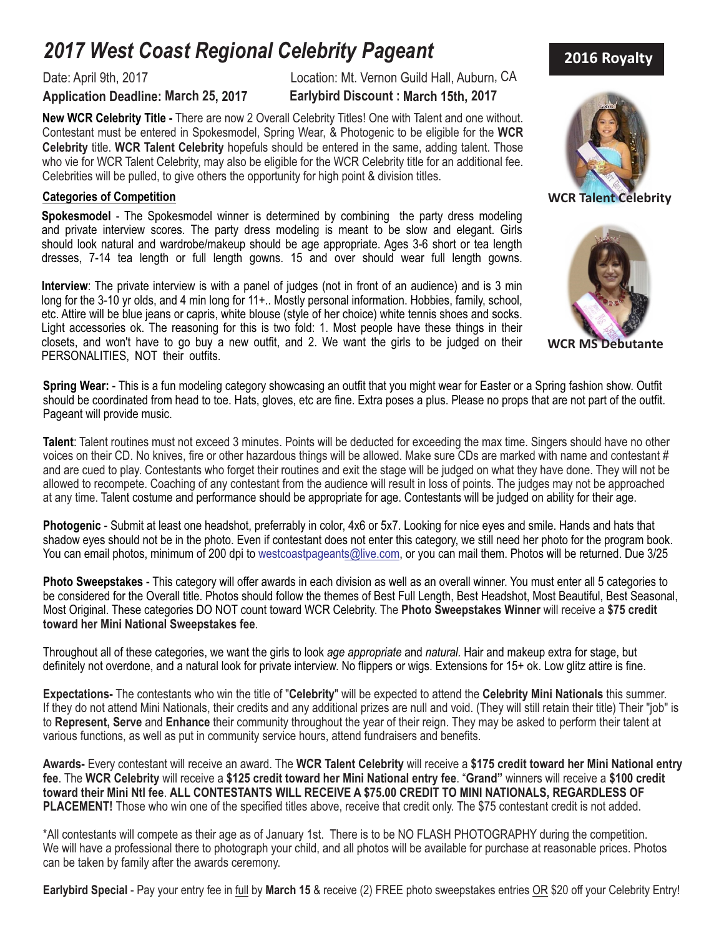# *2017 West Coast Regional Celebrity Pageant*

### **Application Deadline: March 25, 2017 Earlybird Discount : March 15th, 2017**

Date: April 9th, 2017 Location: Mt. Vernon Guild Hall, Auburn, CA

**New WCR Celebrity Title -** There are now 2 Overall Celebrity Titles! One with Talent and one without. Contestant must be entered in Spokesmodel, Spring Wear, & Photogenic to be eligible for the **WCR Celebrity** title. **WCR Talent Celebrity** hopefuls should be entered in the same, adding talent. Those who vie for WCR Talent Celebrity, may also be eligible for the WCR Celebrity title for an additional fee. Celebrities will be pulled, to give others the opportunity for high point & division titles. .

### **Categories of Competition WCR Talent Celebrity**

**Spokesmodel** - The Spokesmodel winner is determined by combining the party dress modeling and private interview scores. The party dress modeling is meant to be slow and elegant. Girls should look natural and wardrobe/makeup should be age appropriate. Ages 3-6 short or tea length dresses, 7-14 tea length or full length gowns. 15 and over should wear full length gowns.

**Interview**: The private interview is with a panel of judges (not in front of an audience) and is 3 min long for the 3-10 yr olds, and 4 min long for 11+.. Mostly personal information. Hobbies, family, school, etc. Attire will be blue jeans or capris, white blouse (style of her choice) white tennis shoes and socks. Light accessories ok. The reasoning for this is two fold: 1. Most people have these things in their closets, and won't have to go buy a new outfit, and 2. We want the girls to be judged on their PERSONALITIES, NOT their outfits.

 **Spring Wear:** - This is a fun modeling category showcasing an outfit that you might wear for Easter or a Spring fashion show. Outfit should be coordinated from head to toe. Hats, gloves, etc are fine. Extra poses a plus. Please no props that are not part of the outfit. Pageant will provide music.

**Talent**: Talent routines must not exceed 3 minutes. Points will be deducted for exceeding the max time. Singers should have no other voices on their CD. No knives, fire or other hazardous things will be allowed. Make sure CDs are marked with name and contestant # and are cued to play. Contestants who forget their routines and exit the stage will be judged on what they have done. They will not be allowed to recompete. Coaching of any contestant from the audience will result in loss of points. The judges may not be approached at any time. Talent costume and performance should be appropriate for age. Contestants will be judged on ability for their age.

**Photogenic** - Submit at least one headshot, preferrably in color, 4x6 or 5x7. Looking for nice eyes and smile. Hands and hats that shadow eyes should not be in the photo. Even if contestant does not enter this category, we still need her photo for the program book. You can email photos, minimum of 200 dpi to westcoastpageants@live.com, or you can mail them. Photos will be returned. Due 3/25

**Photo Sweepstakes** - This category will offer awards in each division as well as an overall winner. You must enter all 5 categories to be considered for the Overall title. Photos should follow the themes of Best Full Length, Best Headshot, Most Beautiful, Best Seasonal, Most Original. These categories DO NOT count toward WCR Celebrity. The **Photo Sweepstakes Winner** will receive a **\$75 credit toward her Mini National Sweepstakes fee**.

Throughout all of these categories, we want the girls to look *age appropriate* and *natural.* Hair and makeup extra for stage, but definitely not overdone, and a natural look for private interview. No flippers or wigs. Extensions for 15+ ok. Low glitz attire is fine..

**Expectations-** The contestants who win the title of "**Celebrity**" will be expected to attend the **Celebrity Mini Nationals** this summer. If they do not attend Mini Nationals, their credits and any additional prizes are null and void. (They will still retain their title) Their "job" is to **Represent, Serve** and **Enhance** their community throughout the year of their reign. They may be asked to perform their talent at various functions, as well as put in community service hours, attend fundraisers and benefits. .

**Awards-** Every contestant will receive an award. The **WCR Talent Celebrity** will receive a **\$175 credit toward her Mini National entry fee**. The **WCR Celebrity** will receive a **\$125 credit toward her Mini National entry fee**. "**Grand"** winners will receive a **\$100 credit toward their Mini Ntl fee**. **ALL CONTESTANTS WILL RECEIVE A \$75.00 CREDIT TO MINI NATIONALS, REGARDLESS OF PLACEMENT!** Those who win one of the specified titles above, receive that credit only. The \$75 contestant credit is not added.

\*All contestants will compete as their age as of January 1st. There is to be NO FLASH PHOTOGRAPHY during the competition. We will have a professional there to photograph your child, and all photos will be available for purchase at reasonable prices. Photos can be taken by family after the awards ceremony.

**Earlybird Special** - Pay your entry fee in full by **March 15** & receive (2) FREE photo sweepstakes entries OR \$20 off your Celebrity Entry!





**WCR MS Debutante**

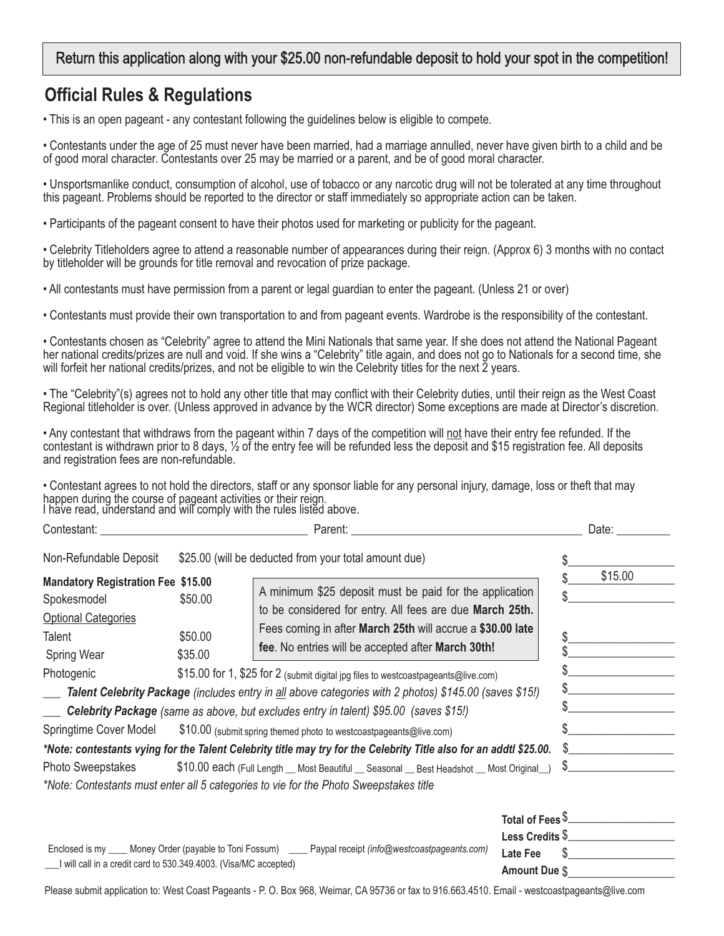### Return this application along with your \$25.00 non-refundable deposit to hold your spot in the competition!

# **Official Rules & Regulations**

• This is an open pageant - any contestant following the guidelines below is eligible to compete.

• Contestants under the age of 25 must never have been married, had a marriage annulled, never have given birth to a child and be of good moral character. Contestants over 25 may be married or a parent, and be of good moral character.

• Unsportsmanlike conduct, consumption of alcohol, use of tobacco or any narcotic drug will not be tolerated at any time throughout this pageant. Problems should be reported to the director or staff immediately so appropriate action can be taken.

• Participants of the pageant consent to have their photos used for marketing or publicity for the pageant.

• Celebrity Titleholders agree to attend a reasonable number of appearances during their reign. (Approx 6) 3 months with no contact by titleholder will be grounds for title removal and revocation of prize package.

• All contestants must have permission from a parent or legal guardian to enter the pageant. (Unless 21 or over)

• Contestants must provide their own transportation to and from pageant events. Wardrobe is the responsibility of the contestant.

• Contestants chosen as "Celebrity" agree to attend the Mini Nationals that same year. If she does not attend the National Pageant her national credits/prizes are null and void. If she wins a "Celebrity" title again, and does not go to Nationals for a second time, she will forfeit her national credits/prizes, and not be eligible to win the Celebrity titles for the next 2 years.

• The "Celebrity"(s) agrees not to hold any other title that may conflict with their Celebrity duties, until their reign as the West Coast Regional titleholder is over. (Unless approved in advance by the WCR director) Some exceptions are made at Director's discretion.

• Any contestant that withdraws from the pageant within 7 days of the competition will not have their entry fee refunded. If the contestant is withdrawn prior to 8 days, ½ of the entry fee will be refunded less the deposit and \$15 registration fee. All deposits and registration fees are non-refundable.

• Contestant agrees to not hold the directors, staff or any sponsor liable for any personal injury, damage, loss or theft that may happen during the course of pageant activities or their reign. I have read, understand and will comply with the rules listed above.

| Contestant:                                                                                                                   | Parent: and the contract of the contract of the contract of the contract of the contract of the contract of the contract of the contract of the contract of the contract of the contract of the contract of the contract of th |                                                                                                                                                                                                                                                                                                                                                                                                                                                                        |                                                     | Date:   |
|-------------------------------------------------------------------------------------------------------------------------------|--------------------------------------------------------------------------------------------------------------------------------------------------------------------------------------------------------------------------------|------------------------------------------------------------------------------------------------------------------------------------------------------------------------------------------------------------------------------------------------------------------------------------------------------------------------------------------------------------------------------------------------------------------------------------------------------------------------|-----------------------------------------------------|---------|
| Non-Refundable Deposit                                                                                                        | \$25.00 (will be deducted from your total amount due)                                                                                                                                                                          |                                                                                                                                                                                                                                                                                                                                                                                                                                                                        |                                                     |         |
| <b>Mandatory Registration Fee \$15.00</b><br>Spokesmodel<br><b>Optional Categories</b><br>Talent<br>Spring Wear<br>Photogenic | \$50.00<br>\$50.00<br>\$35.00                                                                                                                                                                                                  | A minimum \$25 deposit must be paid for the application<br>to be considered for entry. All fees are due March 25th.<br>Fees coming in after March 25th will accrue a \$30.00 late<br>fee. No entries will be accepted after March 30th!<br>\$15.00 for 1, \$25 for 2 (submit digital jpg files to westcoastpageants@live.com)                                                                                                                                          |                                                     | \$15.00 |
|                                                                                                                               |                                                                                                                                                                                                                                | Talent Celebrity Package (includes entry in all above categories with 2 photos) \$145.00 (saves \$15!)                                                                                                                                                                                                                                                                                                                                                                 |                                                     |         |
| Springtime Cover Model<br><b>Photo Sweepstakes</b>                                                                            |                                                                                                                                                                                                                                | Celebrity Package (same as above, but excludes entry in talent) \$95.00 (saves \$15!)<br>\$10.00 (submit spring themed photo to westcoastpageants@live.com)<br>*Note: contestants vying for the Talent Celebrity title may try for the Celebrity Title also for an addtl \$25.00.<br>\$10.00 each (Full Length _ Most Beautiful _ Seasonal _ Best Headshot _ Most Original _)<br>*Note: Contestants must enter all 5 categories to vie for the Photo Sweepstakes title | \$                                                  | S.      |
|                                                                                                                               |                                                                                                                                                                                                                                | Enclosed is my ____ Money Order (payable to Toni Fossum) ____ Paypal receipt (info@westcoastpageants.com)                                                                                                                                                                                                                                                                                                                                                              | Total of Fees $\S$<br>Less Credits $\S$<br>Late Fee |         |

\_\_\_I will call in a credit card to 530.349.4003. (Visa/MC accepted)

Please submit application to: West Coast Pageants - P. O. Box 968, Weimar, CA 95736 or fax to 916.663.4510. Email - westcoastpageants@live.com

\$\_\_\_\_\_\_\_\_\_\_\_\_\_\_\_\_\_\_

**Amount Due**